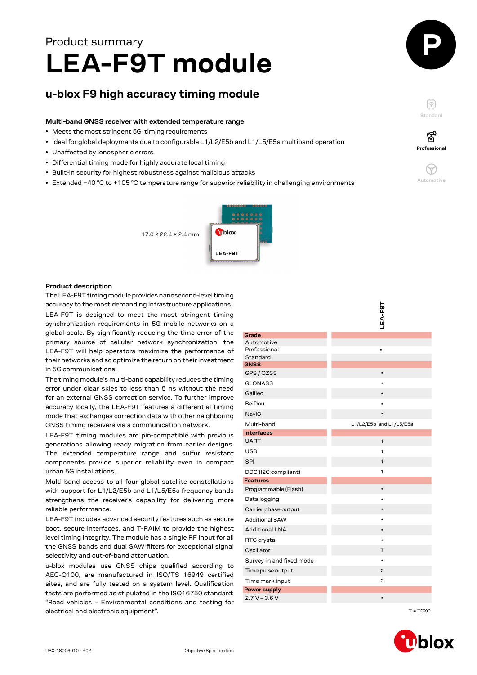# **LEA-F9T module** Product summary

## **u-blox F9 high accuracy timing module**

#### **Multi-band GNSS receiver with extended temperature range**

- Meets the most stringent 5G timing requirements
- Ideal for global deployments due to configurable L1/L2/E5b and L1/L5/E5a multiband operation
- Unaffected by ionospheric errors
- Differential timing mode for highly accurate local timing
- Built-in security for highest robustness against malicious attacks
- Extended −40 °C to +105 °C temperature range for superior reliability in challenging environments



′ିବୁ **Professional**

**Standard**

F





#### **Product description**

The LEA-F9T timing module provides nanosecond-level timing accuracy to the most demanding infrastructure applications. LEA-F9T is designed to meet the most stringent timing synchronization requirements in 5G mobile networks on a global scale. By significantly reducing the time error of the primary source of cellular network synchronization, the LEA-F9T will help operators maximize the performance of their networks and so optimize the return on their investment in 5G communications.

| accuracy to the most demanding infrastructure applications.                                                                                                                |                          |                         |
|----------------------------------------------------------------------------------------------------------------------------------------------------------------------------|--------------------------|-------------------------|
| LEA-F9T is designed to meet the most stringent timing                                                                                                                      |                          | LEA-F9T                 |
| synchronization requirements in 5G mobile networks on a                                                                                                                    |                          |                         |
| global scale. By significantly reducing the time error of the                                                                                                              | Grade                    |                         |
| primary source of cellular network synchronization, the                                                                                                                    | Automotive               |                         |
| LEA-F9T will help operators maximize the performance of                                                                                                                    | Professional<br>Standard |                         |
| their networks and so optimize the return on their investment                                                                                                              | <b>GNSS</b>              |                         |
| in 5G communications.                                                                                                                                                      | GPS / QZSS               |                         |
| The timing module's multi-band capability reduces the timing                                                                                                               | <b>GLONASS</b>           |                         |
| error under clear skies to less than 5 ns without the need                                                                                                                 | Galileo                  |                         |
| for an external GNSS correction service. To further improve<br>accuracy locally, the LEA-F9T features a differential timing                                                | BeiDou                   |                         |
| mode that exchanges correction data with other neighboring                                                                                                                 | NavIC                    |                         |
| GNSS timing receivers via a communication network.                                                                                                                         | Multi-band               | L1/L2/E5b and L1/L5/E5a |
| LEA-F9T timing modules are pin-compatible with previous                                                                                                                    | <b>Interfaces</b>        |                         |
| generations allowing ready migration from earlier designs.                                                                                                                 | <b>UART</b>              | $\mathbf{1}$            |
| The extended temperature range and sulfur resistant                                                                                                                        | <b>USB</b>               | $\mathbf{1}$            |
| components provide superior reliability even in compact                                                                                                                    | <b>SPI</b>               | $\mathbf{1}$            |
| urban 5G installations.                                                                                                                                                    | DDC (I2C compliant)      | 1                       |
| Multi-band access to all four global satellite constellations                                                                                                              | <b>Features</b>          |                         |
| with support for L1/L2/E5b and L1/L5/E5a frequency bands                                                                                                                   | Programmable (Flash)     | $\bullet$               |
| strengthens the receiver's capability for delivering more                                                                                                                  | Data logging             |                         |
| reliable performance.                                                                                                                                                      | Carrier phase output     |                         |
| LEA-F9T includes advanced security features such as secure                                                                                                                 | <b>Additional SAW</b>    |                         |
| boot, secure interfaces, and T-RAIM to provide the highest                                                                                                                 | <b>Additional LNA</b>    |                         |
| level timing integrity. The module has a single RF input for all<br>the GNSS bands and dual SAW filters for exceptional signal<br>selectivity and out-of-band attenuation. | RTC crystal              |                         |
|                                                                                                                                                                            | Oscillator               | Τ                       |
|                                                                                                                                                                            | Survey-in and fixed mode |                         |
| u-blox modules use GNSS chips qualified according to<br>AEC-Q100, are manufactured in ISO/TS 16949 certified                                                               | Time pulse output        | 2                       |
| sites, and are fully tested on a system level. Qualification                                                                                                               | Time mark input          | 2                       |
| tests are performed as stipulated in the ISO16750 standard:                                                                                                                | <b>Power supply</b>      |                         |
| "Road vehicles - Environmental conditions and testing for                                                                                                                  | $2.7 V - 3.6 V$          |                         |
| electrical and electronic equipment".                                                                                                                                      |                          | $T = TCXO$              |